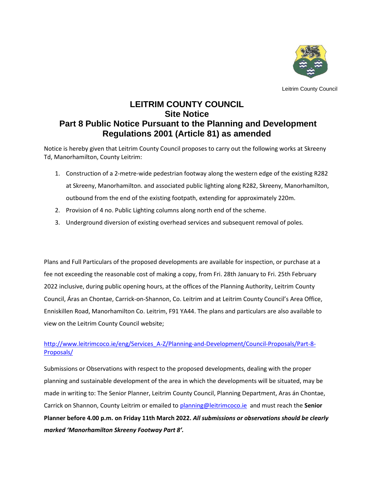

Leitrim County Council

## **LEITRIM COUNTY COUNCIL Site Notice Part 8 Public Notice Pursuant to the Planning and Development Regulations 2001 (Article 81) as amended**

Notice is hereby given that Leitrim County Council proposes to carry out the following works at Skreeny Td, Manorhamilton, County Leitrim:

- 1. Construction of a 2-metre-wide pedestrian footway along the western edge of the existing R282 at Skreeny, Manorhamilton. and associated public lighting along R282, Skreeny, Manorhamilton, outbound from the end of the existing footpath, extending for approximately 220m.
- 2. Provision of 4 no. Public Lighting columns along north end of the scheme.
- 3. Underground diversion of existing overhead services and subsequent removal of poles.

Plans and Full Particulars of the proposed developments are available for inspection, or purchase at a fee not exceeding the reasonable cost of making a copy, from Fri. 28th January to Fri. 25th February 2022 inclusive, during public opening hours, at the offices of the Planning Authority, Leitrim County Council, Áras an Chontae, Carrick-on-Shannon, Co. Leitrim and at Leitrim County Council's Area Office, Enniskillen Road, Manorhamilton Co. Leitrim, F91 YA44. The plans and particulars are also available to view on the Leitrim County Council website;

## [http://www.leitrimcoco.ie/eng/Services\\_A-Z/Planning-and-Development/Council-Proposals/Part-8-](http://www.leitrimcoco.ie/eng/Services_A-Z/Planning-and-Development/Council-Proposals/Part-8-Proposals/) [Proposals/](http://www.leitrimcoco.ie/eng/Services_A-Z/Planning-and-Development/Council-Proposals/Part-8-Proposals/)

Submissions or Observations with respect to the proposed developments, dealing with the proper planning and sustainable development of the area in which the developments will be situated, may be made in writing to: The Senior Planner, Leitrim County Council, Planning Department, Aras án Chontae, Carrick on Shannon, County Leitrim or emailed t[o planning@leitrimcoco.ie](mailto:planning@leitrimcoco.ie) and must reach the **Senior Planner before 4.00 p.m. on Friday 11th March 2022.** *All submissions or observations should be clearly marked 'Manorhamilton Skreeny Footway Part 8'.*